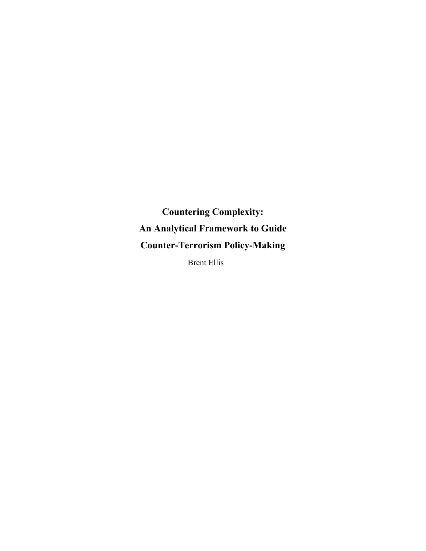**Countering Complexity: An Analytical Framework to Guide Counter-Terrorism Policy-Making** 

Brent Ellis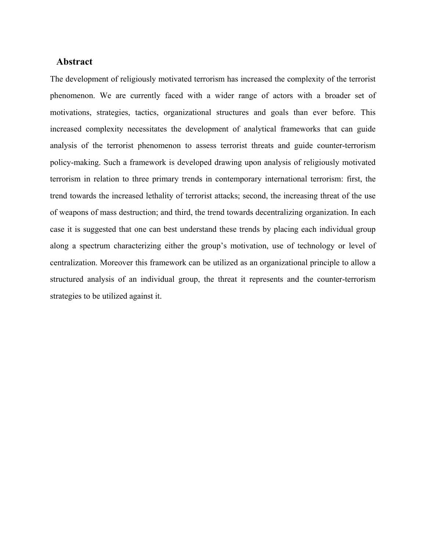# **Abstract**

The development of religiously motivated terrorism has increased the complexity of the terrorist phenomenon. We are currently faced with a wider range of actors with a broader set of motivations, strategies, tactics, organizational structures and goals than ever before. This increased complexity necessitates the development of analytical frameworks that can guide analysis of the terrorist phenomenon to assess terrorist threats and guide counter-terrorism policy-making. Such a framework is developed drawing upon analysis of religiously motivated terrorism in relation to three primary trends in contemporary international terrorism: first, the trend towards the increased lethality of terrorist attacks; second, the increasing threat of the use of weapons of mass destruction; and third, the trend towards decentralizing organization. In each case it is suggested that one can best understand these trends by placing each individual group along a spectrum characterizing either the group's motivation, use of technology or level of centralization. Moreover this framework can be utilized as an organizational principle to allow a structured analysis of an individual group, the threat it represents and the counter-terrorism strategies to be utilized against it.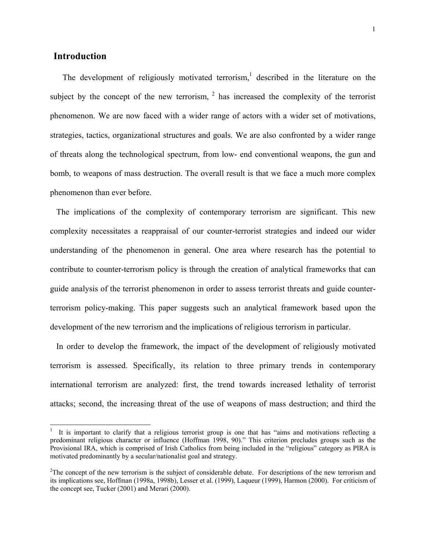# **Introduction**

 $\overline{a}$ 

The development of religiously motivated terrorism,<sup>1</sup> described in the literature on the subject by the concept of the new terrorism,  $2$  has increased the complexity of the terrorist phenomenon. We are now faced with a wider range of actors with a wider set of motivations, strategies, tactics, organizational structures and goals. We are also confronted by a wider range of threats along the technological spectrum, from low- end conventional weapons, the gun and bomb, to weapons of mass destruction. The overall result is that we face a much more complex phenomenon than ever before.

 The implications of the complexity of contemporary terrorism are significant. This new complexity necessitates a reappraisal of our counter-terrorist strategies and indeed our wider understanding of the phenomenon in general. One area where research has the potential to contribute to counter-terrorism policy is through the creation of analytical frameworks that can guide analysis of the terrorist phenomenon in order to assess terrorist threats and guide counterterrorism policy-making. This paper suggests such an analytical framework based upon the development of the new terrorism and the implications of religious terrorism in particular.

 In order to develop the framework, the impact of the development of religiously motivated terrorism is assessed. Specifically, its relation to three primary trends in contemporary international terrorism are analyzed: first, the trend towards increased lethality of terrorist attacks; second, the increasing threat of the use of weapons of mass destruction; and third the

<sup>1</sup> It is important to clarify that a religious terrorist group is one that has "aims and motivations reflecting a predominant religious character or influence (Hoffman 1998, 90)." This criterion precludes groups such as the Provisional IRA, which is comprised of Irish Catholics from being included in the "religious" category as PIRA is motivated predominantly by a secular/nationalist goal and strategy.

 $2^2$ The concept of the new terrorism is the subject of considerable debate. For descriptions of the new terrorism and its implications see, Hoffman (1998a, 1998b), Lesser et al. (1999), Laqueur (1999), Harmon (2000). For criticism of the concept see, Tucker (2001) and Merari (2000).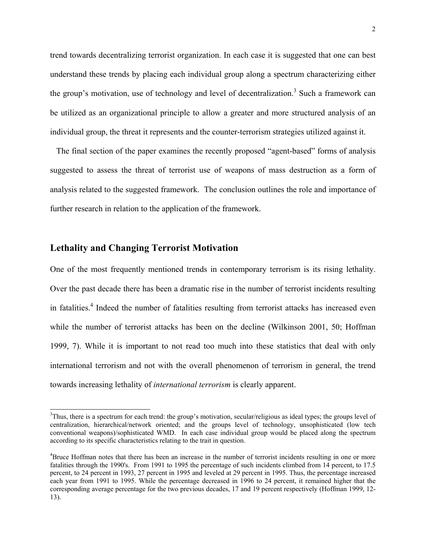trend towards decentralizing terrorist organization. In each case it is suggested that one can best understand these trends by placing each individual group along a spectrum characterizing either the group's motivation, use of technology and level of decentralization.<sup>3</sup> Such a framework can be utilized as an organizational principle to allow a greater and more structured analysis of an individual group, the threat it represents and the counter-terrorism strategies utilized against it.

 The final section of the paper examines the recently proposed "agent-based" forms of analysis suggested to assess the threat of terrorist use of weapons of mass destruction as a form of analysis related to the suggested framework. The conclusion outlines the role and importance of further research in relation to the application of the framework.

### **Lethality and Changing Terrorist Motivation**

 $\overline{a}$ 

One of the most frequently mentioned trends in contemporary terrorism is its rising lethality. Over the past decade there has been a dramatic rise in the number of terrorist incidents resulting in fatalities.<sup>4</sup> Indeed the number of fatalities resulting from terrorist attacks has increased even while the number of terrorist attacks has been on the decline (Wilkinson 2001, 50; Hoffman 1999, 7). While it is important to not read too much into these statistics that deal with only international terrorism and not with the overall phenomenon of terrorism in general, the trend towards increasing lethality of *international terrorism* is clearly apparent.

<sup>&</sup>lt;sup>3</sup>Thus, there is a spectrum for each trend: the group's motivation, secular/religious as ideal types; the groups level of centralization, hierarchical/network oriented; and the groups level of technology, unsophisticated (low tech conventional weapons)/sophisticated WMD. In each case individual group would be placed along the spectrum according to its specific characteristics relating to the trait in question.

<sup>&</sup>lt;sup>4</sup>Bruce Hoffman notes that there has been an increase in the number of terrorist incidents resulting in one or more fatalities through the 1990's. From 1991 to 1995 the percentage of such incidents climbed from 14 percent, to 17.5 percent, to 24 percent in 1993, 27 percent in 1995 and leveled at 29 percent in 1995. Thus, the percentage increased each year from 1991 to 1995. While the percentage decreased in 1996 to 24 percent, it remained higher that the corresponding average percentage for the two previous decades, 17 and 19 percent respectively (Hoffman 1999, 12- 13).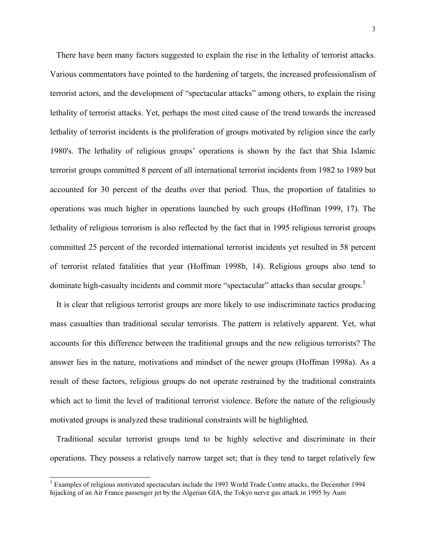There have been many factors suggested to explain the rise in the lethality of terrorist attacks. Various commentators have pointed to the hardening of targets, the increased professionalism of terrorist actors, and the development of "spectacular attacks" among others, to explain the rising lethality of terrorist attacks. Yet, perhaps the most cited cause of the trend towards the increased lethality of terrorist incidents is the proliferation of groups motivated by religion since the early 1980's. The lethality of religious groups' operations is shown by the fact that Shia Islamic terrorist groups committed 8 percent of all international terrorist incidents from 1982 to 1989 but accounted for 30 percent of the deaths over that period. Thus, the proportion of fatalities to operations was much higher in operations launched by such groups (Hoffman 1999, 17). The lethality of religious terrorism is also reflected by the fact that in 1995 religious terrorist groups committed 25 percent of the recorded international terrorist incidents yet resulted in 58 percent of terrorist related fatalities that year (Hoffman 1998b, 14). Religious groups also tend to dominate high-casualty incidents and commit more "spectacular" attacks than secular groups.<sup>5</sup>

 It is clear that religious terrorist groups are more likely to use indiscriminate tactics producing mass casualties than traditional secular terrorists. The pattern is relatively apparent. Yet, what accounts for this difference between the traditional groups and the new religious terrorists? The answer lies in the nature, motivations and mindset of the newer groups (Hoffman 1998a). As a result of these factors, religious groups do not operate restrained by the traditional constraints which act to limit the level of traditional terrorist violence. Before the nature of the religiously motivated groups is analyzed these traditional constraints will be highlighted.

 Traditional secular terrorist groups tend to be highly selective and discriminate in their operations. They possess a relatively narrow target set; that is they tend to target relatively few

<sup>&</sup>lt;sup>5</sup> Examples of religious motivated spectaculars include the 1993 World Trade Centre attacks, the December 1994 hijacking of an Air France passenger jet by the Algerian GIA, the Tokyo nerve gas attack in 1995 by Aum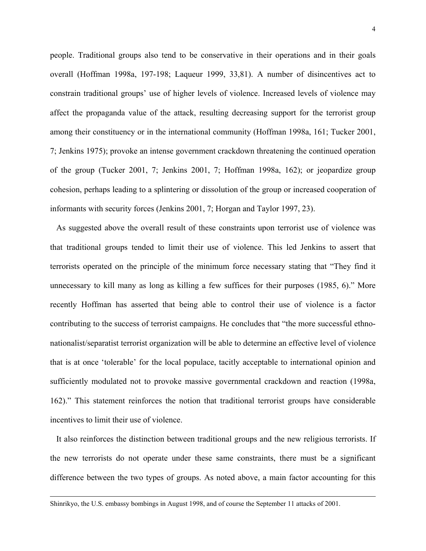people. Traditional groups also tend to be conservative in their operations and in their goals overall (Hoffman 1998a, 197-198; Laqueur 1999, 33,81). A number of disincentives act to constrain traditional groups' use of higher levels of violence. Increased levels of violence may affect the propaganda value of the attack, resulting decreasing support for the terrorist group among their constituency or in the international community (Hoffman 1998a, 161; Tucker 2001, 7; Jenkins 1975); provoke an intense government crackdown threatening the continued operation of the group (Tucker 2001, 7; Jenkins 2001, 7; Hoffman 1998a, 162); or jeopardize group cohesion, perhaps leading to a splintering or dissolution of the group or increased cooperation of informants with security forces (Jenkins 2001, 7; Horgan and Taylor 1997, 23).

 As suggested above the overall result of these constraints upon terrorist use of violence was that traditional groups tended to limit their use of violence. This led Jenkins to assert that terrorists operated on the principle of the minimum force necessary stating that "They find it unnecessary to kill many as long as killing a few suffices for their purposes (1985, 6)." More recently Hoffman has asserted that being able to control their use of violence is a factor contributing to the success of terrorist campaigns. He concludes that "the more successful ethnonationalist/separatist terrorist organization will be able to determine an effective level of violence that is at once 'tolerable' for the local populace, tacitly acceptable to international opinion and sufficiently modulated not to provoke massive governmental crackdown and reaction (1998a, 162)." This statement reinforces the notion that traditional terrorist groups have considerable incentives to limit their use of violence.

 It also reinforces the distinction between traditional groups and the new religious terrorists. If the new terrorists do not operate under these same constraints, there must be a significant difference between the two types of groups. As noted above, a main factor accounting for this

Shinrikyo, the U.S. embassy bombings in August 1998, and of course the September 11 attacks of 2001.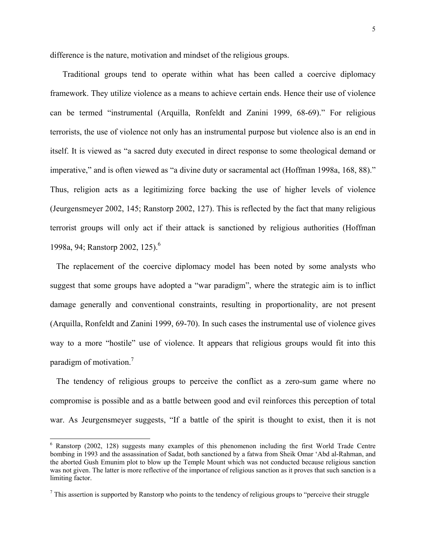difference is the nature, motivation and mindset of the religious groups.

 Traditional groups tend to operate within what has been called a coercive diplomacy framework. They utilize violence as a means to achieve certain ends. Hence their use of violence can be termed "instrumental (Arquilla, Ronfeldt and Zanini 1999, 68-69)." For religious terrorists, the use of violence not only has an instrumental purpose but violence also is an end in itself. It is viewed as "a sacred duty executed in direct response to some theological demand or imperative," and is often viewed as "a divine duty or sacramental act (Hoffman 1998a, 168, 88)." Thus, religion acts as a legitimizing force backing the use of higher levels of violence (Jeurgensmeyer 2002, 145; Ranstorp 2002, 127). This is reflected by the fact that many religious terrorist groups will only act if their attack is sanctioned by religious authorities (Hoffman 1998a, 94; Ranstorp 2002, 125).<sup>6</sup>

 The replacement of the coercive diplomacy model has been noted by some analysts who suggest that some groups have adopted a "war paradigm", where the strategic aim is to inflict damage generally and conventional constraints, resulting in proportionality, are not present (Arquilla, Ronfeldt and Zanini 1999, 69-70). In such cases the instrumental use of violence gives way to a more "hostile" use of violence. It appears that religious groups would fit into this paradigm of motivation.<sup>7</sup>

 The tendency of religious groups to perceive the conflict as a zero-sum game where no compromise is possible and as a battle between good and evil reinforces this perception of total war. As Jeurgensmeyer suggests, "If a battle of the spirit is thought to exist, then it is not

<sup>&</sup>lt;sup>6</sup> Ranstorp (2002, 128) suggests many examples of this phenomenon including the first World Trade Centre bombing in 1993 and the assassination of Sadat, both sanctioned by a fatwa from Sheik Omar 'Abd al-Rahman, and the aborted Gush Emunim plot to blow up the Temple Mount which was not conducted because religious sanction was not given. The latter is more reflective of the importance of religious sanction as it proves that such sanction is a limiting factor.

 $<sup>7</sup>$  This assertion is supported by Ranstorp who points to the tendency of religious groups to "perceive their struggle</sup>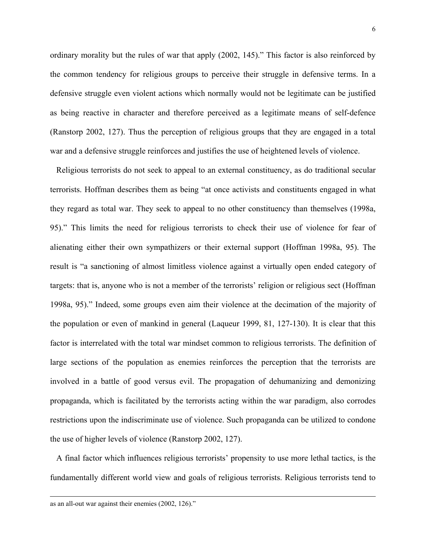ordinary morality but the rules of war that apply (2002, 145)." This factor is also reinforced by the common tendency for religious groups to perceive their struggle in defensive terms. In a defensive struggle even violent actions which normally would not be legitimate can be justified as being reactive in character and therefore perceived as a legitimate means of self-defence (Ranstorp 2002, 127). Thus the perception of religious groups that they are engaged in a total war and a defensive struggle reinforces and justifies the use of heightened levels of violence.

 Religious terrorists do not seek to appeal to an external constituency, as do traditional secular terrorists. Hoffman describes them as being "at once activists and constituents engaged in what they regard as total war. They seek to appeal to no other constituency than themselves (1998a, 95)." This limits the need for religious terrorists to check their use of violence for fear of alienating either their own sympathizers or their external support (Hoffman 1998a, 95). The result is "a sanctioning of almost limitless violence against a virtually open ended category of targets: that is, anyone who is not a member of the terrorists' religion or religious sect (Hoffman 1998a, 95)." Indeed, some groups even aim their violence at the decimation of the majority of the population or even of mankind in general (Laqueur 1999, 81, 127-130). It is clear that this factor is interrelated with the total war mindset common to religious terrorists. The definition of large sections of the population as enemies reinforces the perception that the terrorists are involved in a battle of good versus evil. The propagation of dehumanizing and demonizing propaganda, which is facilitated by the terrorists acting within the war paradigm, also corrodes restrictions upon the indiscriminate use of violence. Such propaganda can be utilized to condone the use of higher levels of violence (Ranstorp 2002, 127).

 A final factor which influences religious terrorists' propensity to use more lethal tactics, is the fundamentally different world view and goals of religious terrorists. Religious terrorists tend to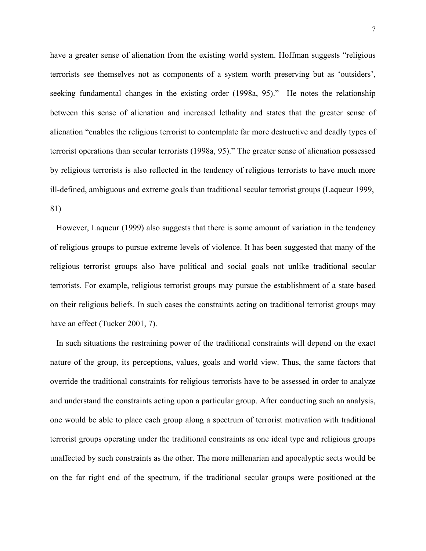have a greater sense of alienation from the existing world system. Hoffman suggests "religious" terrorists see themselves not as components of a system worth preserving but as 'outsiders', seeking fundamental changes in the existing order (1998a, 95)." He notes the relationship between this sense of alienation and increased lethality and states that the greater sense of alienation "enables the religious terrorist to contemplate far more destructive and deadly types of terrorist operations than secular terrorists (1998a, 95)." The greater sense of alienation possessed by religious terrorists is also reflected in the tendency of religious terrorists to have much more ill-defined, ambiguous and extreme goals than traditional secular terrorist groups (Laqueur 1999, 81)

 However, Laqueur (1999) also suggests that there is some amount of variation in the tendency of religious groups to pursue extreme levels of violence. It has been suggested that many of the religious terrorist groups also have political and social goals not unlike traditional secular terrorists. For example, religious terrorist groups may pursue the establishment of a state based on their religious beliefs. In such cases the constraints acting on traditional terrorist groups may have an effect (Tucker 2001, 7).

 In such situations the restraining power of the traditional constraints will depend on the exact nature of the group, its perceptions, values, goals and world view. Thus, the same factors that override the traditional constraints for religious terrorists have to be assessed in order to analyze and understand the constraints acting upon a particular group. After conducting such an analysis, one would be able to place each group along a spectrum of terrorist motivation with traditional terrorist groups operating under the traditional constraints as one ideal type and religious groups unaffected by such constraints as the other. The more millenarian and apocalyptic sects would be on the far right end of the spectrum, if the traditional secular groups were positioned at the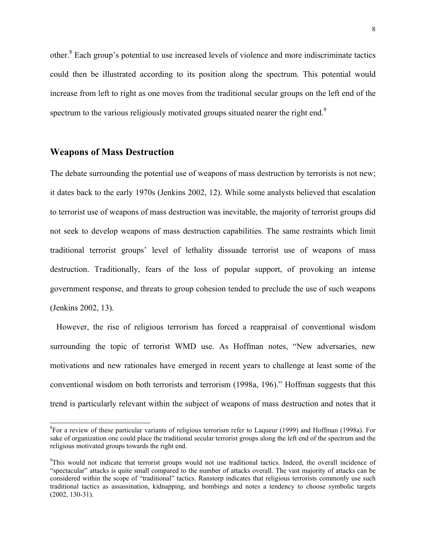other.<sup>8</sup> Each group's potential to use increased levels of violence and more indiscriminate tactics could then be illustrated according to its position along the spectrum. This potential would increase from left to right as one moves from the traditional secular groups on the left end of the spectrum to the various religiously motivated groups situated nearer the right end.<sup>9</sup>

#### **Weapons of Mass Destruction**

 $\overline{a}$ 

The debate surrounding the potential use of weapons of mass destruction by terrorists is not new; it dates back to the early 1970s (Jenkins 2002, 12). While some analysts believed that escalation to terrorist use of weapons of mass destruction was inevitable, the majority of terrorist groups did not seek to develop weapons of mass destruction capabilities. The same restraints which limit traditional terrorist groups' level of lethality dissuade terrorist use of weapons of mass destruction. Traditionally, fears of the loss of popular support, of provoking an intense government response, and threats to group cohesion tended to preclude the use of such weapons (Jenkins 2002, 13).

 However, the rise of religious terrorism has forced a reappraisal of conventional wisdom surrounding the topic of terrorist WMD use. As Hoffman notes, "New adversaries, new motivations and new rationales have emerged in recent years to challenge at least some of the conventional wisdom on both terrorists and terrorism (1998a, 196)." Hoffman suggests that this trend is particularly relevant within the subject of weapons of mass destruction and notes that it

<sup>&</sup>lt;sup>8</sup>For a review of these particular variants of religious terrorism refer to Laqueur (1999) and Hoffman (1998a). For sake of organization one could place the traditional secular terrorist groups along the left end of the spectrum and the religious motivated groups towards the right end.

<sup>&</sup>lt;sup>9</sup>This would not indicate that terrorist groups would not use traditional tactics. Indeed, the overall incidence of "spectacular" attacks is quite small compared to the number of attacks overall. The vast majority of attacks can be considered within the scope of "traditional" tactics. Ranstorp indicates that religious terrorists commonly use such traditional tactics as assassination, kidnapping, and bombings and notes a tendency to choose symbolic targets (2002, 130-31).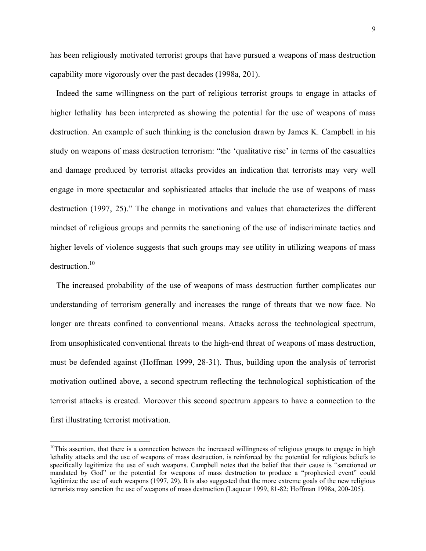has been religiously motivated terrorist groups that have pursued a weapons of mass destruction capability more vigorously over the past decades (1998a, 201).

 Indeed the same willingness on the part of religious terrorist groups to engage in attacks of higher lethality has been interpreted as showing the potential for the use of weapons of mass destruction. An example of such thinking is the conclusion drawn by James K. Campbell in his study on weapons of mass destruction terrorism: "the 'qualitative rise' in terms of the casualties and damage produced by terrorist attacks provides an indication that terrorists may very well engage in more spectacular and sophisticated attacks that include the use of weapons of mass destruction (1997, 25)." The change in motivations and values that characterizes the different mindset of religious groups and permits the sanctioning of the use of indiscriminate tactics and higher levels of violence suggests that such groups may see utility in utilizing weapons of mass destruction.<sup>10</sup>

 The increased probability of the use of weapons of mass destruction further complicates our understanding of terrorism generally and increases the range of threats that we now face. No longer are threats confined to conventional means. Attacks across the technological spectrum, from unsophisticated conventional threats to the high-end threat of weapons of mass destruction, must be defended against (Hoffman 1999, 28-31). Thus, building upon the analysis of terrorist motivation outlined above, a second spectrum reflecting the technological sophistication of the terrorist attacks is created. Moreover this second spectrum appears to have a connection to the first illustrating terrorist motivation.

<sup>&</sup>lt;sup>10</sup>This assertion, that there is a connection between the increased willingness of religious groups to engage in high lethality attacks and the use of weapons of mass destruction, is reinforced by the potential for religious beliefs to specifically legitimize the use of such weapons. Campbell notes that the belief that their cause is "sanctioned or mandated by God" or the potential for weapons of mass destruction to produce a "prophesied event" could legitimize the use of such weapons (1997, 29). It is also suggested that the more extreme goals of the new religious terrorists may sanction the use of weapons of mass destruction (Laqueur 1999, 81-82; Hoffman 1998a, 200-205).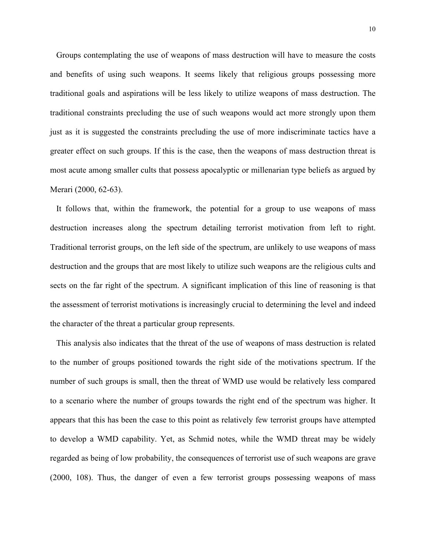Groups contemplating the use of weapons of mass destruction will have to measure the costs and benefits of using such weapons. It seems likely that religious groups possessing more traditional goals and aspirations will be less likely to utilize weapons of mass destruction. The traditional constraints precluding the use of such weapons would act more strongly upon them just as it is suggested the constraints precluding the use of more indiscriminate tactics have a greater effect on such groups. If this is the case, then the weapons of mass destruction threat is most acute among smaller cults that possess apocalyptic or millenarian type beliefs as argued by Merari (2000, 62-63).

 It follows that, within the framework, the potential for a group to use weapons of mass destruction increases along the spectrum detailing terrorist motivation from left to right. Traditional terrorist groups, on the left side of the spectrum, are unlikely to use weapons of mass destruction and the groups that are most likely to utilize such weapons are the religious cults and sects on the far right of the spectrum. A significant implication of this line of reasoning is that the assessment of terrorist motivations is increasingly crucial to determining the level and indeed the character of the threat a particular group represents.

 This analysis also indicates that the threat of the use of weapons of mass destruction is related to the number of groups positioned towards the right side of the motivations spectrum. If the number of such groups is small, then the threat of WMD use would be relatively less compared to a scenario where the number of groups towards the right end of the spectrum was higher. It appears that this has been the case to this point as relatively few terrorist groups have attempted to develop a WMD capability. Yet, as Schmid notes, while the WMD threat may be widely regarded as being of low probability, the consequences of terrorist use of such weapons are grave (2000, 108). Thus, the danger of even a few terrorist groups possessing weapons of mass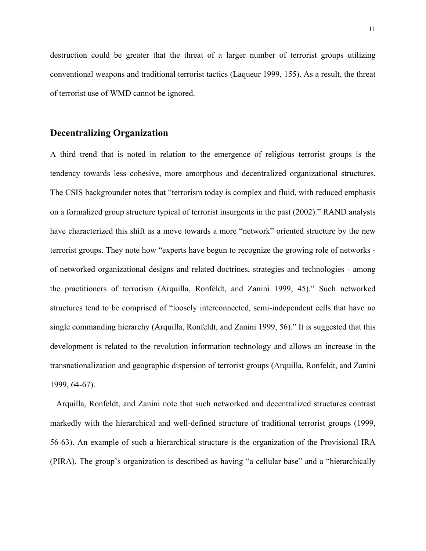destruction could be greater that the threat of a larger number of terrorist groups utilizing conventional weapons and traditional terrorist tactics (Laqueur 1999, 155). As a result, the threat of terrorist use of WMD cannot be ignored.

### **Decentralizing Organization**

A third trend that is noted in relation to the emergence of religious terrorist groups is the tendency towards less cohesive, more amorphous and decentralized organizational structures. The CSIS backgrounder notes that "terrorism today is complex and fluid, with reduced emphasis on a formalized group structure typical of terrorist insurgents in the past (2002)." RAND analysts have characterized this shift as a move towards a more "network" oriented structure by the new terrorist groups. They note how "experts have begun to recognize the growing role of networks of networked organizational designs and related doctrines, strategies and technologies - among the practitioners of terrorism (Arquilla, Ronfeldt, and Zanini 1999, 45)." Such networked structures tend to be comprised of "loosely interconnected, semi-independent cells that have no single commanding hierarchy (Arquilla, Ronfeldt, and Zanini 1999, 56)." It is suggested that this development is related to the revolution information technology and allows an increase in the transnationalization and geographic dispersion of terrorist groups (Arquilla, Ronfeldt, and Zanini 1999, 64-67).

 Arquilla, Ronfeldt, and Zanini note that such networked and decentralized structures contrast markedly with the hierarchical and well-defined structure of traditional terrorist groups (1999, 56-63). An example of such a hierarchical structure is the organization of the Provisional IRA (PIRA). The group's organization is described as having "a cellular base" and a "hierarchically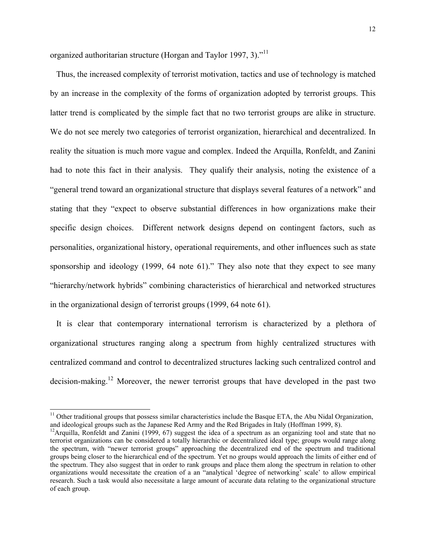organized authoritarian structure (Horgan and Taylor 1997, 3)."11

 Thus, the increased complexity of terrorist motivation, tactics and use of technology is matched by an increase in the complexity of the forms of organization adopted by terrorist groups. This latter trend is complicated by the simple fact that no two terrorist groups are alike in structure. We do not see merely two categories of terrorist organization, hierarchical and decentralized. In reality the situation is much more vague and complex. Indeed the Arquilla, Ronfeldt, and Zanini had to note this fact in their analysis. They qualify their analysis, noting the existence of a "general trend toward an organizational structure that displays several features of a network" and stating that they "expect to observe substantial differences in how organizations make their specific design choices. Different network designs depend on contingent factors, such as personalities, organizational history, operational requirements, and other influences such as state sponsorship and ideology (1999, 64 note 61)." They also note that they expect to see many "hierarchy/network hybrids" combining characteristics of hierarchical and networked structures in the organizational design of terrorist groups (1999, 64 note 61).

 It is clear that contemporary international terrorism is characterized by a plethora of organizational structures ranging along a spectrum from highly centralized structures with centralized command and control to decentralized structures lacking such centralized control and decision-making.12 Moreover, the newer terrorist groups that have developed in the past two

<sup>&</sup>lt;sup>11</sup> Other traditional groups that possess similar characteristics include the Basque ETA, the Abu Nidal Organization, and ideological groups such as the Japanese Red Army and the Red Brigades in Italy (Hoffman 1999, 8).

<sup>&</sup>lt;sup>12</sup>Arquilla, Ronfeldt and Zanini (1999, 67) suggest the idea of a spectrum as an organizing tool and state that no terrorist organizations can be considered a totally hierarchic or decentralized ideal type; groups would range along the spectrum, with "newer terrorist groups" approaching the decentralized end of the spectrum and traditional groups being closer to the hierarchical end of the spectrum. Yet no groups would approach the limits of either end of the spectrum. They also suggest that in order to rank groups and place them along the spectrum in relation to other organizations would necessitate the creation of a an "analytical 'degree of networking' scale' to allow empirical research. Such a task would also necessitate a large amount of accurate data relating to the organizational structure of each group.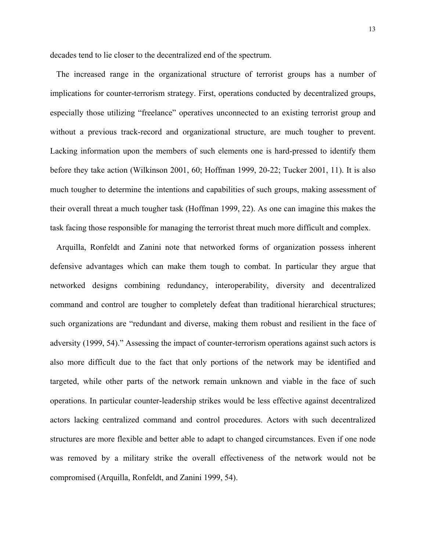decades tend to lie closer to the decentralized end of the spectrum.

 The increased range in the organizational structure of terrorist groups has a number of implications for counter-terrorism strategy. First, operations conducted by decentralized groups, especially those utilizing "freelance" operatives unconnected to an existing terrorist group and without a previous track-record and organizational structure, are much tougher to prevent. Lacking information upon the members of such elements one is hard-pressed to identify them before they take action (Wilkinson 2001, 60; Hoffman 1999, 20-22; Tucker 2001, 11). It is also much tougher to determine the intentions and capabilities of such groups, making assessment of their overall threat a much tougher task (Hoffman 1999, 22). As one can imagine this makes the task facing those responsible for managing the terrorist threat much more difficult and complex.

 Arquilla, Ronfeldt and Zanini note that networked forms of organization possess inherent defensive advantages which can make them tough to combat. In particular they argue that networked designs combining redundancy, interoperability, diversity and decentralized command and control are tougher to completely defeat than traditional hierarchical structures; such organizations are "redundant and diverse, making them robust and resilient in the face of adversity (1999, 54)." Assessing the impact of counter-terrorism operations against such actors is also more difficult due to the fact that only portions of the network may be identified and targeted, while other parts of the network remain unknown and viable in the face of such operations. In particular counter-leadership strikes would be less effective against decentralized actors lacking centralized command and control procedures. Actors with such decentralized structures are more flexible and better able to adapt to changed circumstances. Even if one node was removed by a military strike the overall effectiveness of the network would not be compromised (Arquilla, Ronfeldt, and Zanini 1999, 54).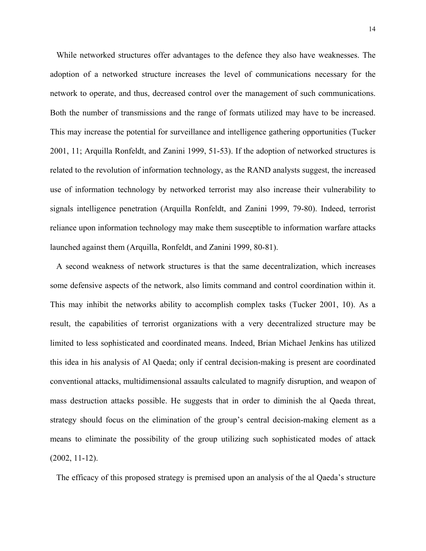While networked structures offer advantages to the defence they also have weaknesses. The adoption of a networked structure increases the level of communications necessary for the network to operate, and thus, decreased control over the management of such communications. Both the number of transmissions and the range of formats utilized may have to be increased. This may increase the potential for surveillance and intelligence gathering opportunities (Tucker 2001, 11; Arquilla Ronfeldt, and Zanini 1999, 51-53). If the adoption of networked structures is related to the revolution of information technology, as the RAND analysts suggest, the increased use of information technology by networked terrorist may also increase their vulnerability to signals intelligence penetration (Arquilla Ronfeldt, and Zanini 1999, 79-80). Indeed, terrorist reliance upon information technology may make them susceptible to information warfare attacks launched against them (Arquilla, Ronfeldt, and Zanini 1999, 80-81).

 A second weakness of network structures is that the same decentralization, which increases some defensive aspects of the network, also limits command and control coordination within it. This may inhibit the networks ability to accomplish complex tasks (Tucker 2001, 10). As a result, the capabilities of terrorist organizations with a very decentralized structure may be limited to less sophisticated and coordinated means. Indeed, Brian Michael Jenkins has utilized this idea in his analysis of Al Qaeda; only if central decision-making is present are coordinated conventional attacks, multidimensional assaults calculated to magnify disruption, and weapon of mass destruction attacks possible. He suggests that in order to diminish the al Qaeda threat, strategy should focus on the elimination of the group's central decision-making element as a means to eliminate the possibility of the group utilizing such sophisticated modes of attack (2002, 11-12).

The efficacy of this proposed strategy is premised upon an analysis of the al Qaeda's structure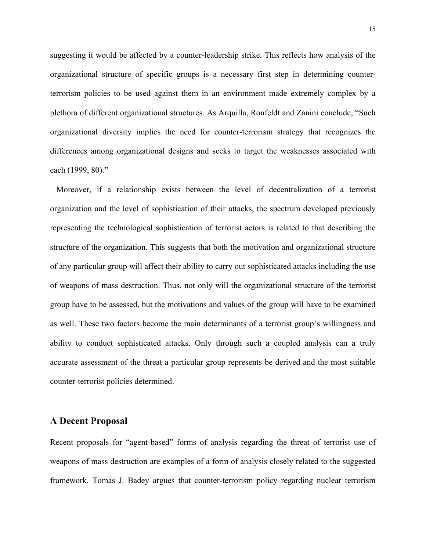suggesting it would be affected by a counter-leadership strike. This reflects how analysis of the organizational structure of specific groups is a necessary first step in determining counterterrorism policies to be used against them in an environment made extremely complex by a plethora of different organizational structures. As Arquilla, Ronfeldt and Zanini conclude, "Such organizational diversity implies the need for counter-terrorism strategy that recognizes the differences among organizational designs and seeks to target the weaknesses associated with each (1999, 80)."

 Moreover, if a relationship exists between the level of decentralization of a terrorist organization and the level of sophistication of their attacks, the spectrum developed previously representing the technological sophistication of terrorist actors is related to that describing the structure of the organization. This suggests that both the motivation and organizational structure of any particular group will affect their ability to carry out sophisticated attacks including the use of weapons of mass destruction. Thus, not only will the organizational structure of the terrorist group have to be assessed, but the motivations and values of the group will have to be examined as well. These two factors become the main determinants of a terrorist group's willingness and ability to conduct sophisticated attacks. Only through such a coupled analysis can a truly accurate assessment of the threat a particular group represents be derived and the most suitable counter-terrorist policies determined.

#### **A Decent Proposal**

Recent proposals for "agent-based" forms of analysis regarding the threat of terrorist use of weapons of mass destruction are examples of a form of analysis closely related to the suggested framework. Tomas J. Badey argues that counter-terrorism policy regarding nuclear terrorism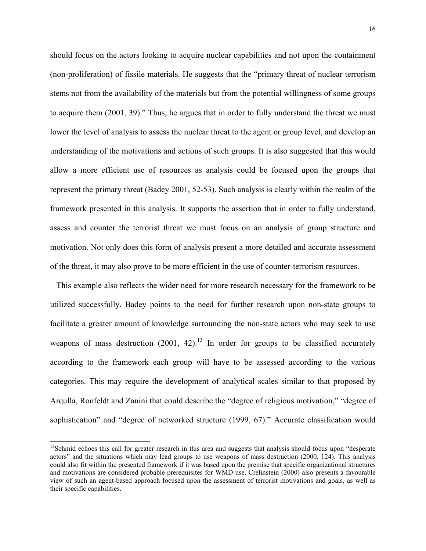should focus on the actors looking to acquire nuclear capabilities and not upon the containment (non-proliferation) of fissile materials. He suggests that the "primary threat of nuclear terrorism stems not from the availability of the materials but from the potential willingness of some groups to acquire them (2001, 39)." Thus, he argues that in order to fully understand the threat we must lower the level of analysis to assess the nuclear threat to the agent or group level, and develop an understanding of the motivations and actions of such groups. It is also suggested that this would allow a more efficient use of resources as analysis could be focused upon the groups that represent the primary threat (Badey 2001, 52-53). Such analysis is clearly within the realm of the framework presented in this analysis. It supports the assertion that in order to fully understand, assess and counter the terrorist threat we must focus on an analysis of group structure and motivation. Not only does this form of analysis present a more detailed and accurate assessment of the threat, it may also prove to be more efficient in the use of counter-terrorism resources.

 This example also reflects the wider need for more research necessary for the framework to be utilized successfully. Badey points to the need for further research upon non-state groups to facilitate a greater amount of knowledge surrounding the non-state actors who may seek to use weapons of mass destruction  $(2001, 42)$ .<sup>13</sup> In order for groups to be classified accurately according to the framework each group will have to be assessed according to the various categories. This may require the development of analytical scales similar to that proposed by Arqulla, Ronfeldt and Zanini that could describe the "degree of religious motivation," "degree of sophistication" and "degree of networked structure (1999, 67)." Accurate classification would

l

<sup>&</sup>lt;sup>13</sup>Schmid echoes this call for greater research in this area and suggests that analysis should focus upon "desperate actors" and the situations which may lead groups to use weapons of mass destruction (2000, 124). This analysis could also fit within the presented framework if it was based upon the premise that specific organizational structures and motivations are considered probable prerequisites for WMD use. Crelinstein (2000) also presents a favourable view of such an agent-based approach focused upon the assessment of terrorist motivations and goals, as well as their specific capabilities.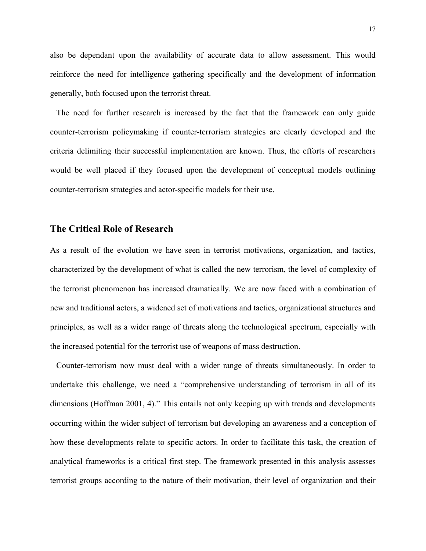also be dependant upon the availability of accurate data to allow assessment. This would reinforce the need for intelligence gathering specifically and the development of information generally, both focused upon the terrorist threat.

 The need for further research is increased by the fact that the framework can only guide counter-terrorism policymaking if counter-terrorism strategies are clearly developed and the criteria delimiting their successful implementation are known. Thus, the efforts of researchers would be well placed if they focused upon the development of conceptual models outlining counter-terrorism strategies and actor-specific models for their use.

### **The Critical Role of Research**

As a result of the evolution we have seen in terrorist motivations, organization, and tactics, characterized by the development of what is called the new terrorism, the level of complexity of the terrorist phenomenon has increased dramatically. We are now faced with a combination of new and traditional actors, a widened set of motivations and tactics, organizational structures and principles, as well as a wider range of threats along the technological spectrum, especially with the increased potential for the terrorist use of weapons of mass destruction.

 Counter-terrorism now must deal with a wider range of threats simultaneously. In order to undertake this challenge, we need a "comprehensive understanding of terrorism in all of its dimensions (Hoffman 2001, 4)." This entails not only keeping up with trends and developments occurring within the wider subject of terrorism but developing an awareness and a conception of how these developments relate to specific actors. In order to facilitate this task, the creation of analytical frameworks is a critical first step. The framework presented in this analysis assesses terrorist groups according to the nature of their motivation, their level of organization and their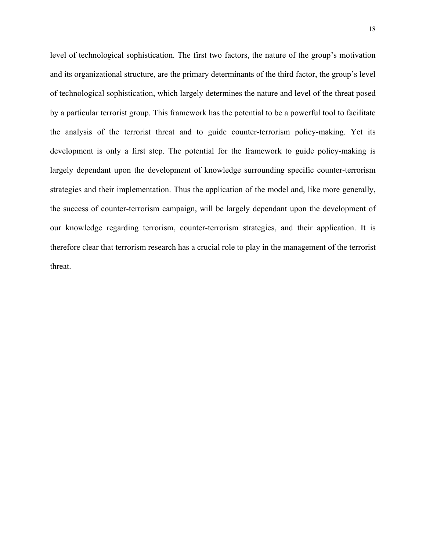level of technological sophistication. The first two factors, the nature of the group's motivation and its organizational structure, are the primary determinants of the third factor, the group's level of technological sophistication, which largely determines the nature and level of the threat posed by a particular terrorist group. This framework has the potential to be a powerful tool to facilitate the analysis of the terrorist threat and to guide counter-terrorism policy-making. Yet its development is only a first step. The potential for the framework to guide policy-making is largely dependant upon the development of knowledge surrounding specific counter-terrorism strategies and their implementation. Thus the application of the model and, like more generally, the success of counter-terrorism campaign, will be largely dependant upon the development of our knowledge regarding terrorism, counter-terrorism strategies, and their application. It is therefore clear that terrorism research has a crucial role to play in the management of the terrorist threat.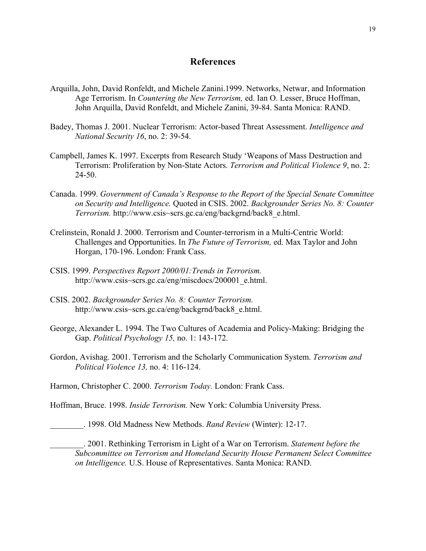## **References**

- Arquilla, John, David Ronfeldt, and Michele Zanini.1999. Networks, Netwar, and Information Age Terrorism. In *Countering the New Terrorism,* ed. Ian O. Lesser, Bruce Hoffman, John Arquilla, David Ronfeldt, and Michele Zanini, 39-84. Santa Monica: RAND.
- Badey, Thomas J. 2001. Nuclear Terrorism: Actor-based Threat Assessment. *Intelligence and National Security 16*, no. 2: 39-54.
- Campbell, James K. 1997. Excerpts from Research Study 'Weapons of Mass Destruction and Terrorism: Proliferation by Non-State Actors. *Terrorism and Political Violence 9*, no. 2:  $24 - 50$ .
- Canada. 1999. *Government of Canada's Response to the Report of the Special Senate Committee on Security and Intelligence.* Quoted in CSIS. 2002. *Backgrounder Series No. 8: Counter Terrorism.* http://www.csis~scrs.gc.ca/eng/backgrnd/back8\_e.html.
- Crelinstein, Ronald J. 2000. Terrorism and Counter-terrorism in a Multi-Centric World: Challenges and Opportunities. In *The Future of Terrorism,* ed. Max Taylor and John Horgan, 170-196. London: Frank Cass.
- CSIS. 1999. *Perspectives Report 2000/01:Trends in Terrorism.*  http://www.csis~scrs.gc.ca/eng/miscdocs/200001\_e.html.
- CSIS. 2002. *Backgrounder Series No. 8: Counter Terrorism.*  http://www.csis~scrs.gc.ca/eng/backgrnd/back8\_e.html.
- George, Alexander L. 1994. The Two Cultures of Academia and Policy-Making: Bridging the Gap. *Political Psychology 15,* no. 1: 143-172.
- Gordon, Avishag. 2001. Terrorism and the Scholarly Communication System. *Terrorism and Political Violence 13,* no. 4: 116-124.

Harmon, Christopher C. 2000. *Terrorism Today.* London: Frank Cass.

Hoffman, Bruce. 1998. *Inside Terrorism.* New York: Columbia University Press.

\_\_\_\_\_\_\_\_. 1998. Old Madness New Methods. *Rand Review* (Winter): 12-17.

\_\_\_\_\_\_\_\_. 2001. Rethinking Terrorism in Light of a War on Terrorism. *Statement before the Subcommittee on Terrorism and Homeland Security House Permanent Select Committee on Intelligence.* U.S. House of Representatives. Santa Monica: RAND.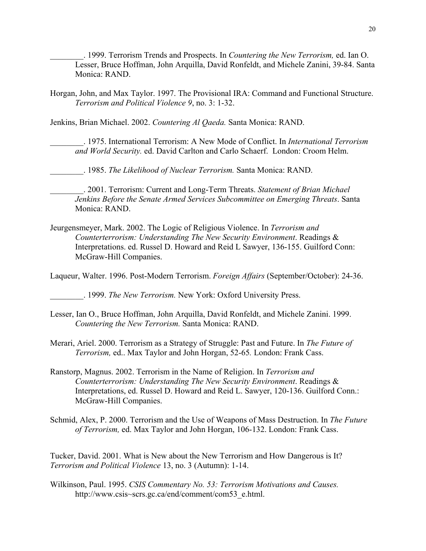\_\_\_\_\_\_\_\_. 1999. Terrorism Trends and Prospects. In *Countering the New Terrorism,* ed. Ian O. Lesser, Bruce Hoffman, John Arquilla, David Ronfeldt, and Michele Zanini, 39-84. Santa Monica: RAND.

Horgan, John, and Max Taylor. 1997. The Provisional IRA: Command and Functional Structure.  *Terrorism and Political Violence 9*, no. 3: 1-32.

Jenkins, Brian Michael. 2002. *Countering Al Qaeda.* Santa Monica: RAND.

\_\_\_\_\_\_\_\_. 1975. International Terrorism: A New Mode of Conflict. In *International Terrorism and World Security.* ed. David Carlton and Carlo Schaerf. London: Croom Helm.

\_\_\_\_\_\_\_\_. 1985. *The Likelihood of Nuclear Terrorism.* Santa Monica: RAND.

- \_\_\_\_\_\_\_\_. 2001. Terrorism: Current and Long-Term Threats. *Statement of Brian Michael Jenkins Before the Senate Armed Services Subcommittee on Emerging Threats*. Santa Monica: RAND.
- Jeurgensmeyer, Mark. 2002. The Logic of Religious Violence. In *Terrorism and Counterterrorism: Understanding The New Security Environment*. Readings & Interpretations. ed. Russel D. Howard and Reid L Sawyer, 136-155. Guilford Conn: McGraw-Hill Companies.

Laqueur, Walter. 1996. Post-Modern Terrorism. *Foreign Affairs* (September/October): 24-36.

\_\_\_\_\_\_\_\_. 1999. *The New Terrorism.* New York: Oxford University Press.

- Lesser, Ian O., Bruce Hoffman, John Arquilla, David Ronfeldt, and Michele Zanini. 1999. *Countering the New Terrorism.* Santa Monica: RAND.
- Merari, Ariel. 2000. Terrorism as a Strategy of Struggle: Past and Future. In *The Future of Terrorism,* ed.. Max Taylor and John Horgan, 52-65*.* London: Frank Cass.
- Ranstorp, Magnus. 2002. Terrorism in the Name of Religion. In *Terrorism and Counterterrorism: Understanding The New Security Environment*. Readings & Interpretations, ed. Russel D. Howard and Reid L. Sawyer, 120-136. Guilford Conn.: McGraw-Hill Companies.
- Schmid, Alex, P. 2000. Terrorism and the Use of Weapons of Mass Destruction. In *The Future of Terrorism,* ed. Max Taylor and John Horgan, 106-132. London: Frank Cass.

Tucker, David. 2001. What is New about the New Terrorism and How Dangerous is It? *Terrorism and Political Violence* 13, no. 3 (Autumn): 1-14.

Wilkinson, Paul. 1995. *CSIS Commentary No. 53: Terrorism Motivations and Causes.* http://www.csis~scrs.gc.ca/end/comment/com53\_e.html.